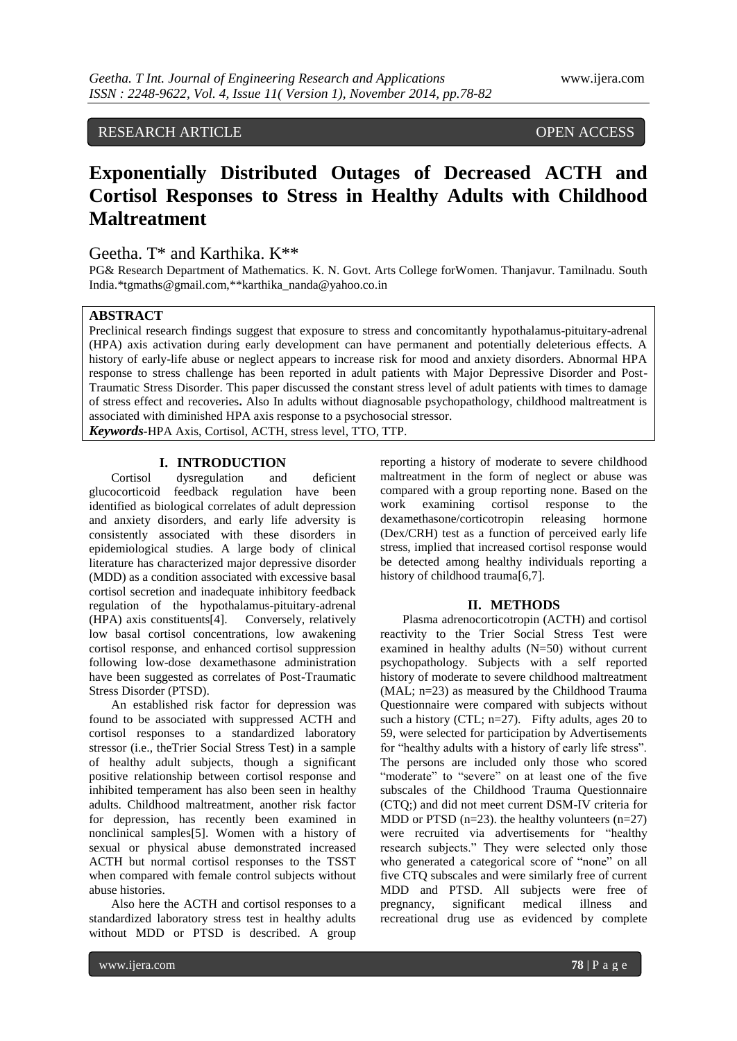RESEARCH ARTICLE OPEN ACCESS

# **Exponentially Distributed Outages of Decreased ACTH and Cortisol Responses to Stress in Healthy Adults with Childhood Maltreatment**

# Geetha. T\* and Karthika. K\*\*

PG& Research Department of Mathematics. K. N. Govt. Arts College forWomen. Thanjavur. Tamilnadu. South India.\*tgmaths@gmail.com,\*\*karthika\_nanda@yahoo.co.in

## **ABSTRACT**

Preclinical research findings suggest that exposure to stress and concomitantly hypothalamus-pituitary-adrenal (HPA) axis activation during early development can have permanent and potentially deleterious effects. A history of early-life abuse or neglect appears to increase risk for mood and anxiety disorders. Abnormal HPA response to stress challenge has been reported in adult patients with Major Depressive Disorder and Post-Traumatic Stress Disorder. This paper discussed the constant stress level of adult patients with times to damage of stress effect and recoveries**.** Also In adults without diagnosable psychopathology, childhood maltreatment is associated with diminished HPA axis response to a psychosocial stressor.

*Keywords-*HPA Axis, Cortisol, ACTH, stress level, TTO, TTP.

# **I. INTRODUCTION**

Cortisol dysregulation and deficient glucocorticoid feedback regulation have been identified as biological correlates of adult depression and anxiety disorders, and early life adversity is consistently associated with these disorders in epidemiological studies. A large body of clinical literature has characterized major depressive disorder (MDD) as a condition associated with excessive basal cortisol secretion and inadequate inhibitory feedback regulation of the hypothalamus-pituitary-adrenal (HPA) axis constituents[4]. Conversely, relatively low basal cortisol concentrations, low awakening cortisol response, and enhanced cortisol suppression following low-dose dexamethasone administration have been suggested as correlates of Post-Traumatic Stress Disorder (PTSD).

An established risk factor for depression was found to be associated with suppressed ACTH and cortisol responses to a standardized laboratory stressor (i.e., theTrier Social Stress Test) in a sample of healthy adult subjects, though a significant positive relationship between cortisol response and inhibited temperament has also been seen in healthy adults. Childhood maltreatment, another risk factor for depression, has recently been examined in nonclinical samples[5]. Women with a history of sexual or physical abuse demonstrated increased ACTH but normal cortisol responses to the TSST when compared with female control subjects without abuse histories.

Also here the ACTH and cortisol responses to a standardized laboratory stress test in healthy adults without MDD or PTSD is described. A group

reporting a history of moderate to severe childhood maltreatment in the form of neglect or abuse was compared with a group reporting none. Based on the work examining cortisol response to the dexamethasone/corticotropin releasing hormone (Dex/CRH) test as a function of perceived early life stress, implied that increased cortisol response would be detected among healthy individuals reporting a history of childhood trauma[6,7].

## **II. METHODS**

Plasma adrenocorticotropin (ACTH) and cortisol reactivity to the Trier Social Stress Test were examined in healthy adults (N=50) without current psychopathology. Subjects with a self reported history of moderate to severe childhood maltreatment (MAL; n=23) as measured by the Childhood Trauma Questionnaire were compared with subjects without such a history (CTL;  $n=27$ ). Fifty adults, ages 20 to 59, were selected for participation by Advertisements for "healthy adults with a history of early life stress". The persons are included only those who scored "moderate" to "severe" on at least one of the five subscales of the Childhood Trauma Questionnaire (CTQ;) and did not meet current DSM-IV criteria for MDD or PTSD  $(n=23)$ . the healthy volunteers  $(n=27)$ were recruited via advertisements for "healthy research subjects." They were selected only those who generated a categorical score of "none" on all five CTQ subscales and were similarly free of current MDD and PTSD. All subjects were free of pregnancy, significant medical illness and recreational drug use as evidenced by complete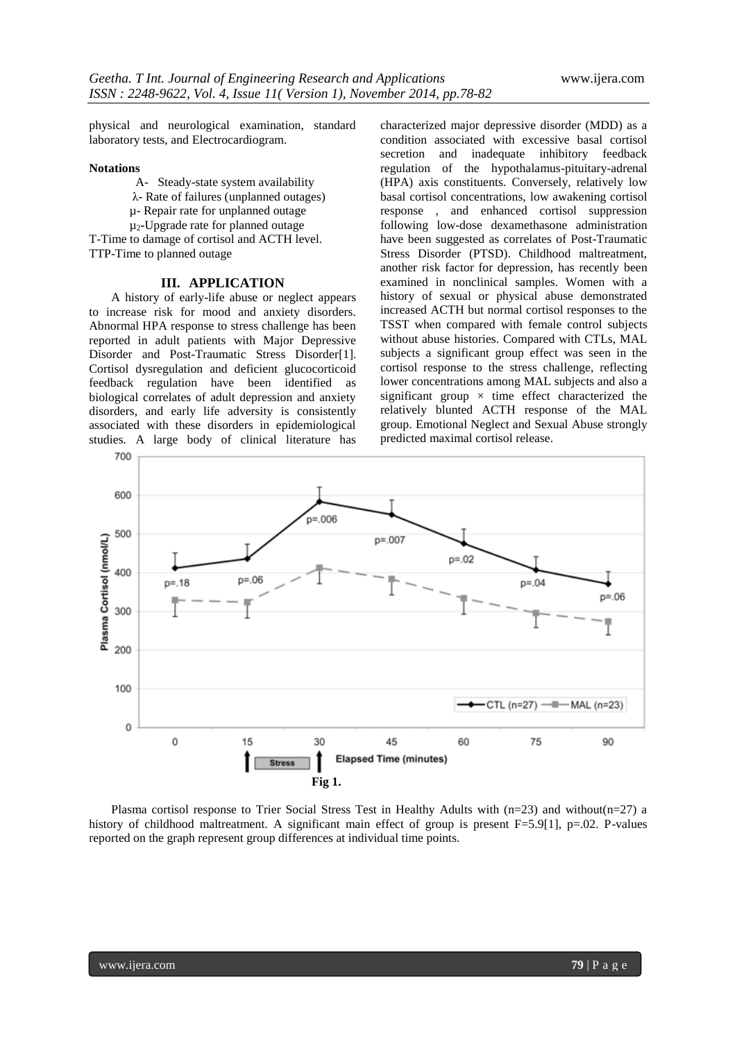physical and neurological examination, standard laboratory tests, and Electrocardiogram.

#### **Notations**

A- Steady-state system availability

λ- Rate of failures (unplanned outages)

µ- Repair rate for unplanned outage

µ2**-**Upgrade rate for planned outage

T-Time to damage of cortisol and ACTH level. TTP-Time to planned outage

## **III. APPLICATION**

A history of early-life abuse or neglect appears to increase risk for mood and anxiety disorders. Abnormal HPA response to stress challenge has been reported in adult patients with Major Depressive Disorder and Post-Traumatic Stress Disorder[1]. Cortisol dysregulation and deficient glucocorticoid feedback regulation have been identified as biological correlates of adult depression and anxiety disorders, and early life adversity is consistently associated with these disorders in epidemiological studies. A large body of clinical literature has

characterized major depressive disorder (MDD) as a condition associated with excessive basal cortisol secretion and inadequate inhibitory feedback regulation of the hypothalamus-pituitary-adrenal (HPA) axis constituents. Conversely, relatively low basal cortisol concentrations, low awakening cortisol response , and enhanced cortisol suppression following low-dose dexamethasone administration have been suggested as correlates of Post-Traumatic Stress Disorder (PTSD). Childhood maltreatment, another risk factor for depression, has recently been examined in nonclinical samples. Women with a history of sexual or physical abuse demonstrated increased ACTH but normal cortisol responses to the TSST when compared with female control subjects without abuse histories. Compared with CTLs, MAL subjects a significant group effect was seen in the cortisol response to the stress challenge, reflecting lower concentrations among MAL subjects and also a significant group  $\times$  time effect characterized the relatively blunted ACTH response of the MAL group. Emotional Neglect and Sexual Abuse strongly predicted maximal cortisol release.



Plasma cortisol response to Trier Social Stress Test in Healthy Adults with (n=23) and without(n=27) a history of childhood maltreatment. A significant main effect of group is present F=5.9[1], p=.02. P-values reported on the graph represent group differences at individual time points.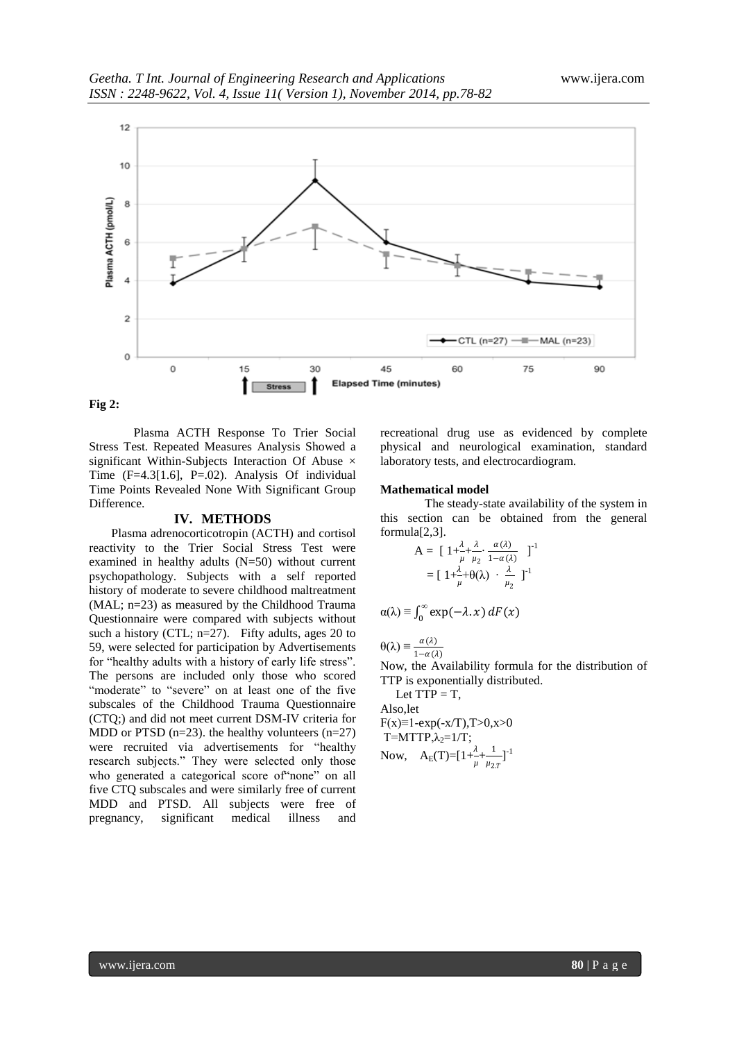

**Fig 2:**

Plasma ACTH Response To Trier Social Stress Test. Repeated Measures Analysis Showed a significant Within-Subjects Interaction Of Abuse  $\times$ Time (F=4.3[1.6], P=.02). Analysis Of individual Time Points Revealed None With Significant Group Difference.

#### **IV. METHODS**

Plasma adrenocorticotropin (ACTH) and cortisol reactivity to the Trier Social Stress Test were examined in healthy adults (N=50) without current psychopathology. Subjects with a self reported history of moderate to severe childhood maltreatment (MAL; n=23) as measured by the Childhood Trauma Questionnaire were compared with subjects without such a history (CTL;  $n=27$ ). Fifty adults, ages 20 to 59, were selected for participation by Advertisements for "healthy adults with a history of early life stress". The persons are included only those who scored "moderate" to "severe" on at least one of the five subscales of the Childhood Trauma Questionnaire (CTQ;) and did not meet current DSM-IV criteria for MDD or PTSD  $(n=23)$ . the healthy volunteers  $(n=27)$ were recruited via advertisements for "healthy research subjects." They were selected only those who generated a categorical score of"none" on all five CTQ subscales and were similarly free of current MDD and PTSD. All subjects were free of pregnancy, significant medical illness and

recreational drug use as evidenced by complete physical and neurological examination, standard laboratory tests, and electrocardiogram.

#### **Mathematical model**

The steady-state availability of the system in this section can be obtained from the general formula[2,3].

$$
A = \left[1 + \frac{\lambda}{\mu} + \frac{\lambda}{\mu_2} \cdot \frac{\alpha(\lambda)}{1 - \alpha(\lambda)}\right]^{-1}
$$

$$
= \left[1 + \frac{\lambda}{\mu} + \theta(\lambda) \cdot \frac{\lambda}{\mu_2}\right]^{-1}
$$

$$
\alpha(\lambda) \equiv \int_0^\infty \exp(-\lambda \cdot x) \, dF(x)
$$

 $\theta(\lambda) \equiv \frac{\alpha(\lambda)}{1-\alpha(\lambda)}$ 

Now, the Availability formula for the distribution of TTP is exponentially distributed.

Let  $TTP = T$ , Also,let  $F(x)=1-exp(-x/T), T>0, x>0$  $T=MTTP,\lambda_2=1/T;$ Now,  $A_E(T) = [1 + \frac{\lambda}{\mu} + \frac{1}{\mu_2}]$  $\frac{1}{\mu_{2,T}}$ ]<sup>-1</sup>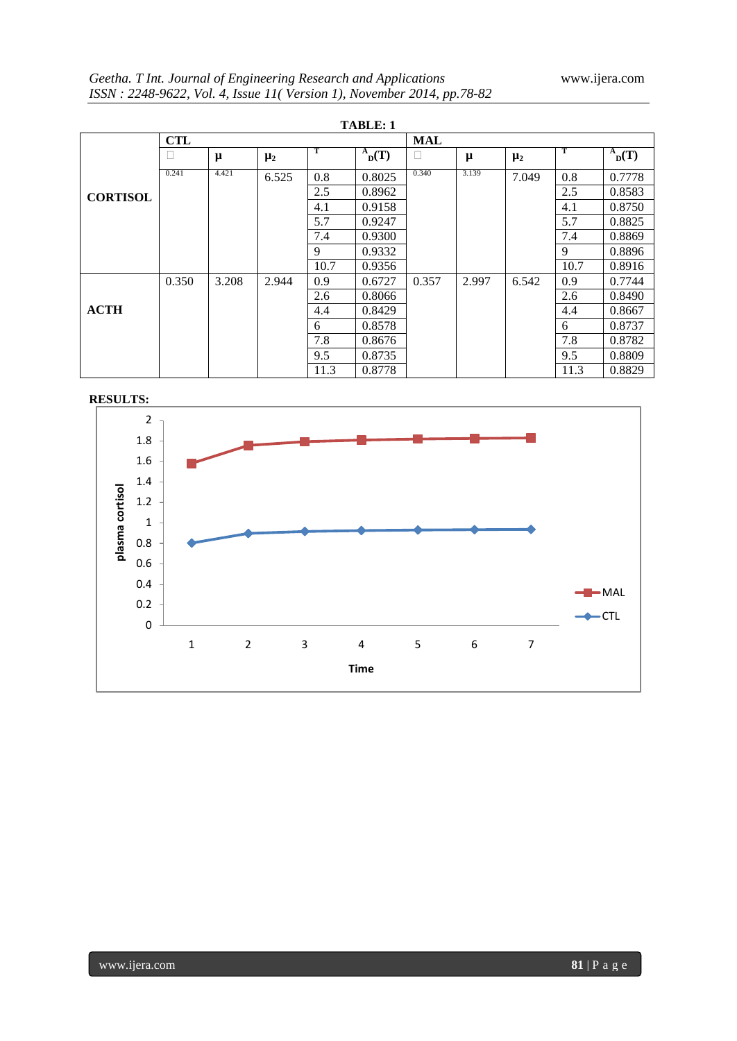| <b>TABLE: 1</b> |            |       |         |      |            |            |       |         |      |            |
|-----------------|------------|-------|---------|------|------------|------------|-------|---------|------|------------|
|                 | <b>CTL</b> |       |         |      |            | <b>MAL</b> |       |         |      |            |
|                 |            | μ     | $\mu_2$ | т    | $^{A}D(T)$ | □          | μ     | $\mu_2$ | -1   | $^{A}D(T)$ |
| <b>CORTISOL</b> | 0.241      | 4.421 | 6.525   | 0.8  | 0.8025     | 0.340      | 3.139 | 7.049   | 0.8  | 0.7778     |
|                 |            |       |         | 2.5  | 0.8962     |            |       |         | 2.5  | 0.8583     |
|                 |            |       |         | 4.1  | 0.9158     |            |       |         | 4.1  | 0.8750     |
|                 |            |       |         | 5.7  | 0.9247     |            |       |         | 5.7  | 0.8825     |
|                 |            |       |         | 7.4  | 0.9300     |            |       |         | 7.4  | 0.8869     |
|                 |            |       |         | 9    | 0.9332     |            |       |         | 9    | 0.8896     |
|                 |            |       |         | 10.7 | 0.9356     |            |       |         | 10.7 | 0.8916     |
| <b>ACTH</b>     | 0.350      | 3.208 | 2.944   | 0.9  | 0.6727     | 0.357      | 2.997 | 6.542   | 0.9  | 0.7744     |
|                 |            |       |         | 2.6  | 0.8066     |            |       |         | 2.6  | 0.8490     |
|                 |            |       |         | 4.4  | 0.8429     |            |       |         | 4.4  | 0.8667     |
|                 |            |       |         | 6    | 0.8578     |            |       |         | 6    | 0.8737     |
|                 |            |       |         | 7.8  | 0.8676     |            |       |         | 7.8  | 0.8782     |
|                 |            |       |         | 9.5  | 0.8735     |            |       |         | 9.5  | 0.8809     |
|                 |            |       |         | 11.3 | 0.8778     |            |       |         | 11.3 | 0.8829     |